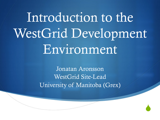# Introduction to the WestGrid Development Environment

Jonatan Aronsson WestGrid Site-Lead University of Manitoba (Grex)

 $\blacklozenge$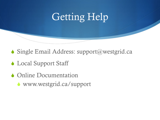#### Getting Help

 $\blacklozenge$  Single Email Address: support@westgrid.ca

- ◆ Local Support Staff
- Online Documentation
	- $\bullet$  www.westgrid.ca/support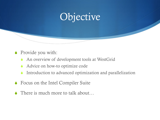#### Objective

- $\bullet$  Provide you with:
	- $\triangle$  An overview of development tools at WestGrid
	- Advice on how-to optimize code
	- Introduction to advanced optimization and parallelization
- $\bullet$  Focus on the Intel Compiler Suite
- $\bullet$  There is much more to talk about...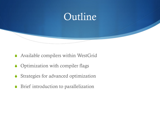

- $\triangle$  Available compilers within WestGrid
- $\bullet$  Optimization with compiler flags
- $\bullet$  Strategies for advanced optimization
- $\blacklozenge$  Brief introduction to parallelization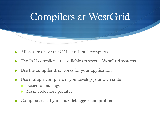

- All systems have the GNU and Intel compilers
- The PGI compilers are available on several WestGrid systems
- Use the compiler that works for your application
- Use multiple compilers if you develop your own code
	- Easier to find bugs
	- Make code more portable
- Compilers usually include debuggers and profilers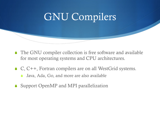#### GNU Compilers

- $\bullet$  The GNU compiler collection is free software and available for most operating systems and CPU architectures.
- $\bullet$  C, C++, Fortran compilers are on all WestGrid systems.
	- Java, Ada, Go, and more are also available
- $\bullet$  Support OpenMP and MPI parallelization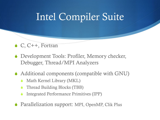### Intel Compiler Suite

- $\bullet$  C, C++, Fortran
- ◆ Development Tools: Profiler, Memory checker, Debugger, Thread/MPI Analyzers
- $\triangle$  Additional components (compatible with GNU)
	- Math Kernel Library (MKL)
	- Thread Building Blocks (TBB)
	- Integrated Performance Primitives (IPP)
- S Parallelization support: MPI, OpenMP, Clik Plus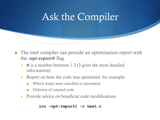#### Ask the Compiler

- $\blacklozenge$  The intel compiler can provide an optimization report with the -opt-report# flag
	- $\leftrightarrow$  # is a number between 1-3 (3 gives the most detailed information)
	- Report on how the code was optimized, for example
		- Which loops were unrolled or permuted
		- Deletion of unused code
	- $\triangle$  Provide advice on beneficial code modifications

```
icc -opt-report1 -c test.c
```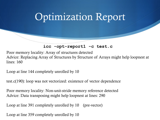#### Optimization Report

**icc -opt-report1 -c test.c** 

Poor memory locality: Array of structures detected Advice: Replacing Array of Structures by Structure of Arrays might help loopnest at lines: 160

Loop at line 144 completely unrolled by 10

test.c(190): loop was not vectorized: existence of vector dependence

Poor memory locality: Non-unit-stride memory reference detected Advice: Data transposing might help loopnest at lines: 290

Loop at line 391 completely unrolled by 10 (pre-vector)

Loop at line 359 completely unrolled by 10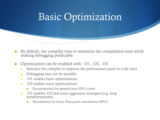#### Basic Optimization

- By default, the compiler tries to minimize the compilation time while making debugging predicable.
- Optimization can be enabled with:  $-O1$ ,  $-O2$ ,  $-O3$ 
	- Instructs the compiler to improve the performance (and/or code size)
	- Debugging may not be possible
	- -O1 enables basic optimizations
	- -O2 enables most optimizations
		- Recommended for general (non HPC) codes
	- -O3 enables -O2 and more aggressive strategies (e.g. loop transformations).
		- Recommend for heavy float-point calculations (HPC)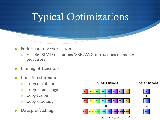## Typical Optimizations

#### Perform auto-vectorization

- $\bullet$  Enables SIMD operations (SSE/AVX instructions on modern processors)
- Inlining of functions
- Loop transformations
	- Loop distribution
	- Loop interchange
	- Loop fusion
	- Loop unrolling
- Data pre-fetching



*Source: software.intel.com*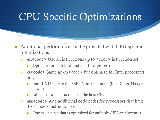#### CPU Specific Optimizations

- $\triangle$  Additional performance can be provided with CPU-specific optimizations
	- -m<code> Use all instructions up to <code> instruction set.  $\blacksquare$ 
		- $\bullet$  Optimize for both Intel and non-Intel processors
	- -x<code> Same as -m<code> but optimize for Intel processors and  $\epsilon$ only.
		- -xsse4.2 Use up to the SSE4.2 instruction set (Intel Xeon 55xx or newer)
		- -xhost use all instructions on the host CPU
	- -ax<code> Add additional code paths for processors that have the  $<$ code> instruction set
		- One executable that is optimized for multiple CPU architectures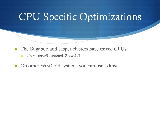#### CPU Specific Optimizations

- $\triangle$  The Bugaboo and Jasper clusters have mixed CPUs
	- $\bullet$  Use: -xsse3 -axsse4.2,sse4.1
- ◆ On other WestGrid systems you can use -xhost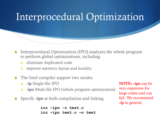#### Interprocedural Optimization

- Interprocedural Optimization (IPO) analyzes the whole program to perform global optimizations, including
	- eliminate duplicated code
	- improve memory layout and locality.
- $\triangle$  The Intel compiler support two modes
	- $\bullet$  -ip Single-file IPO
	- -ipo Multi-file IPO (whole program optimization)
- $\bullet$  Specify -ipo at both compilation and linking

```
icc –ipo -c test.c
icc –ipo test.o –o test
```

```
NOTE: -ipo can be 
very expensive for 
large codes and can 
fail. We recommend 
-ip in general.
```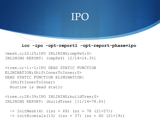#### IPO

**icc -ipo -opt-report1 -opt-report-phase=ipo**

<mesh.c;22:25;IPO INLINING;cmpPeY;0> INLINING REPORT: (cmpPeY) [2/14=14.3%]

<tree.c;-1:-1;IPO DEAD STATIC FUNCTION ELIMINATION;ShiftInnerToInner;0> DEAD STATIC FUNCTION ELIMINATION:

(ShiftInnerToInner)

Routine is dead static

```
<tree.c;28:39;IPO INLINING;buildTree;0> 
INLINING REPORT: (buildTree) [11/14=78.6%]
```
 $\Rightarrow$  InitMesh(4) (isz = 69) (sz = 78 (21+57))

 $\Rightarrow$  initBiomials(13) (isz = 37) (sz = 40 (21+19))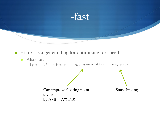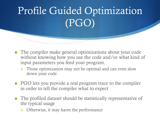# Profile Guided Optimization (PGO)

- $\bullet$  The compiler make general optimizations about your code without knowing how you use the code and/or what kind of input parameters you feed your program.
	- Those optimization may not be optimal and can even slow down your code
- $\triangle$  PGO lets you provide a real program trace to the compiler in order to tell the compiler what to expect
- $\bullet$  The profiled dataset should be statistically representative of the typical usage
	- Otherwise, it may harm the performance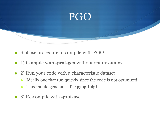

- ♦ 3-phase procedure to compile with PGO
- $\bullet$  1) Compile with -prof-gen without optimizations
- $\triangle$  2) Run your code with a characteristic dataset
	- $\triangle$  Ideally one that run quickly since the code is not optimized
	- This should generate a file **pgopti.dpi**
- $\bullet$  3) Re-compile with -prof-use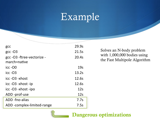#### Example

| gcc                                        | 29.9s           |
|--------------------------------------------|-----------------|
| $\rm gcc$ -O3                              | 21.5s           |
| gcc -O3 -ftree-vectorize -<br>march=native | 20.4s           |
| $\textsf{icc}$ -O0                         | 19 <sub>s</sub> |
| $\textsf{icc}$ -O3                         | 13.2s           |
| icc -03 -xhost                             | 12.6s           |
| icc -O3 -xhost -ip                         | 12.6s           |
| icc -O3 -xhost -ipo                        | 12s             |
| ADD-prof-use                               | 12s             |
| ADD -fno-alias                             | 7.7s            |
| ADD-complex-limited-range                  | 7.5s            |

Solves an N-body problem with 1,000,000 bodies using the Fast Multipole Algorithm

Dangerous optimizations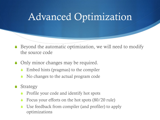#### Advanced Optimization

- $\bullet$  Beyond the automatic optimization, we will need to modify the source code
- $\bullet$  Only minor changes may be required.
	- Embed hints (pragmas) to the compiler
	- No changes to the actual program code
- $\triangle$  Strategy
	- Profile your code and identify hot spots
	- Focus your efforts on the hot spots (80/20 rule)
	- Use feedback from compiler (and profiler) to apply optimizations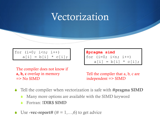#### Vectorization

for  $(i=0; i \le n; i++)$  $a[i] = b[i] * c[i];$  **#pragma simd** for  $(i=0; i \le n; i++)$  $a[i] = b[i] * c[i];$ 

The compiler does not know if a, b, c overlap in memory  $\Rightarrow$  No SIMD

Tell the compiler that a, b, c are independent => SIMD

- Tell the compiler when vectorization is safe with #pragma SIMD
	- Many more options are available with the SIMD keyword
	- Fortran: **!DIR\$ SIMD**
- Use -vec-report#  $(\# = 1, \ldots, 6)$  to get advice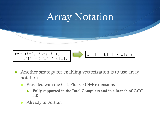

- $\triangle$  Another strategy for enabling vectorization is to use array notation
	- Provided with the Cilk Plus  $C/C++$  extensions
		- S Fully supported in the Intel Compilers and in a branch of GCC 4.8
	- Already in Fortran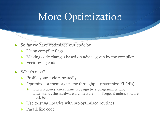#### More Optimization

- $\bullet$  So far we have optimized our code by
	- Using compiler flags
	- Making code changes based on advice given by the compiler
	- Vectorizing code
- $\triangle$  What's next?
	- **SEPROFILE YOUT CODE repeatedly**
	- $\bullet$  Optimize for memory/cache throughput (maximize FLOPs)
		- Often requires algorithmic redesign by a programmer who understands the hardware architecture! => Forget it unless you are black belt
	- Use existing libraries with pre-optimized routines
	- Parallelize code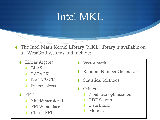#### Intel MKL

- $\bullet$  The Intel Math Kernel Library (MKL) library is available on all WestGrid systems and include:
	- **S** Linear Algebra
		- BLAS
		- **LAPACK**
		- $\bullet$  ScaLAPACK
		- Sparse solvers
	- **FFT** 
		- **Multidimensional**
		- **FFTW** interface
		- **Cluster FFT**
- $\triangle$  Vector math
- Random Number Generators
- **Statistical Methods**
- **Others** 
	- $\bullet$  Nonlinear optimization
	- ◆ PDE Solvers
	- Data fitting
	- More …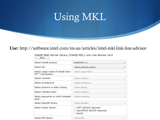## Using MKL

#### Use: http://software.intel.com/en-us/articles/intel-mkl-link-line-advisor

| Intel® Math Kernel Library (Intel® MKL) Link Line Advisor v4.0 |  |  |  |  |
|----------------------------------------------------------------|--|--|--|--|
| Reset                                                          |  |  |  |  |

| Select Intel® product:                                             | $Intel(R)$ MKL $11.1$                                               | ÷               |
|--------------------------------------------------------------------|---------------------------------------------------------------------|-----------------|
| Select OS:                                                         | <select operating="" system=""></select>                            | ÷               |
| Select usage model of Intel® Xeon<br>Phi <sup>™</sup> Coprocessor: | <select model="" usage=""></select>                                 |                 |
| Select compiler:                                                   | <select compiler=""></select>                                       | $\frac{h}{\pi}$ |
| Select architecture:                                               | <select architecture=""></select>                                   | ÷               |
| Select dynamic or static linking:                                  | <select linking=""></select>                                        |                 |
| Select interface layer:                                            | <select interface=""></select>                                      | ÷               |
| Select sequential or multi-threaded<br>layer:                      | <select threading=""></select>                                      |                 |
| Select OpenMP library:                                             | <select openmp=""></select>                                         |                 |
| Select cluster library:                                            | CDFT (BLACS required)<br>ScaLAPACK (BLACS required)<br><b>BLACS</b> |                 |
| Select MPI library:                                                | <select mpi=""></select>                                            |                 |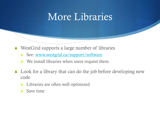#### More Libraries

- $\triangle$  WestGrid supports a large number of libraries
	- See: www.westgrid.ca/support/software
	- We install libraries when users request them
- $\bullet$  Look for a library that can do the job before developing new code
	- Libraries are often well optimized
	- Save time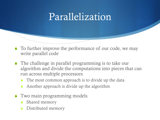#### Parallelization

- $\bullet$  To further improve the performance of our code, we may write parallel code
- $\bullet$  The challenge in parallel programming is to take our algorithm and divide the computations into pieces that can run across multiple processors
	- The most common approach is to divide up the data
	- Another approach is divide up the algorithm
- $\bullet$  Two main programming models
	- Shared memory
	- Distributed memory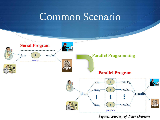#### Common Scenario



*Figures courtesy of Peter Graham*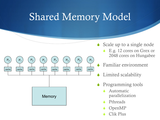#### Shared Memory Model



- $\bullet$  Scale up to a single node
	- $\bullet$  E.g. 12 cores on Grex or 2048 cores on Hungabee
	- S Familiar environment
	- Limited scalability
- Programming tools
	- Automatic parallelization
	- Pthreads
	- OpenMP
	- Clik Plus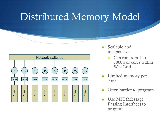#### Distributed Memory Model



- Scalable and inexpensive
	- Can run from 1 to 1000's of cores within **WestGrid**
- Limited memory per core
- Often harder to program
- Use MPI (Message Passing Interface) to program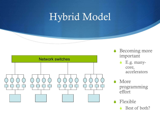#### Hybrid Model



- $\triangle$  Becoming more important
	- $\bullet$  E.g. manycore, accelerators
- **More** programming effort

Best of both?

 $\blacklozenge$  Flexible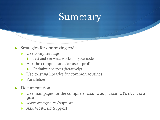#### Summary

- $\bullet$  Strategies for optimizing code:
	- $\bullet$  Use compiler flags
		- Test and see what works for your code
	- Ask the compiler and/or use a profiler
		- $\bullet$  Optimize hot spots (iteratively)
	- Use existing libraries for common routines
	- Parallelize
- $\triangle$  Documentation
	- Use man pages for the compilers: **man icc, man ifort, man gcc**
	- $\bullet$  www.westgrid.ca/support
	- Ask WestGrid Support